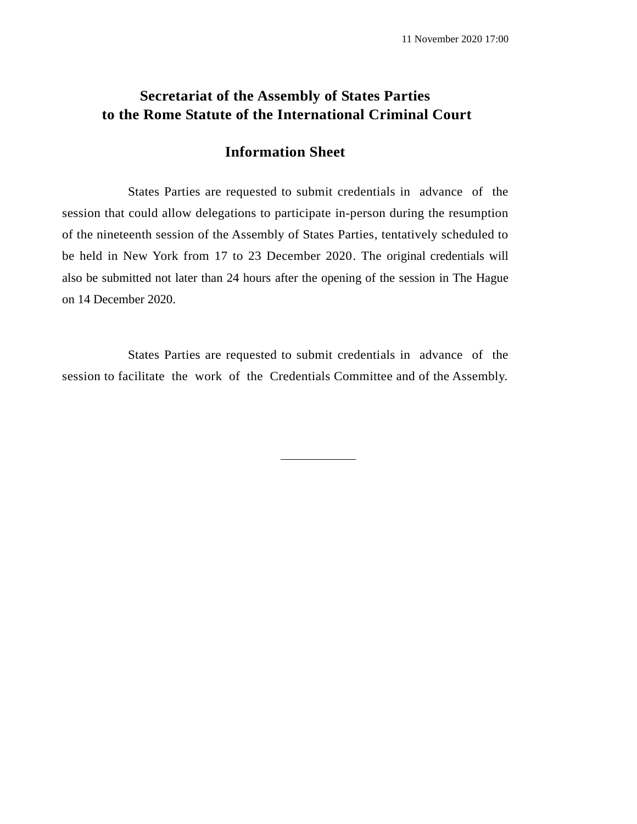# **Secretariat of the Assembly of States Parties to the Rome Statute of the International Criminal Court**

## **Information Sheet**

States Parties are requested to submit credentials in advance of the session that could allow delegations to participate in-person during the resumption of the nineteenth session of the Assembly of States Parties, tentatively scheduled to be held in New York from 17 to 23 December 2020. The original credentials will also be submitted not later than 24 hours after the opening of the session in The Hague on 14 December 2020.

States Parties are requested to submit credentials in advance of the session to facilitate the work of the Credentials Committee and of the Assembly.